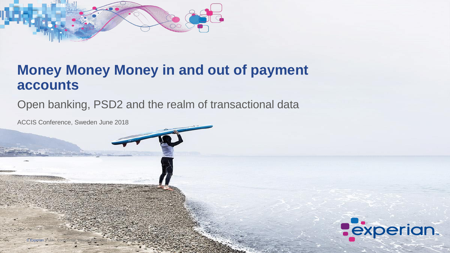





## **Money Money Money in and out of payment accounts**

Open banking, PSD2 and the realm of transactional data

ACCIS Conference, Sweden June 2018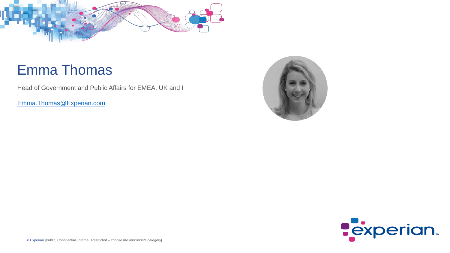



## Emma Thomas

Head of Government and Public Affairs for EMEA, UK and I

[Emma.Thomas@Experian.com](mailto:Emma.Thomas@Experian.com)

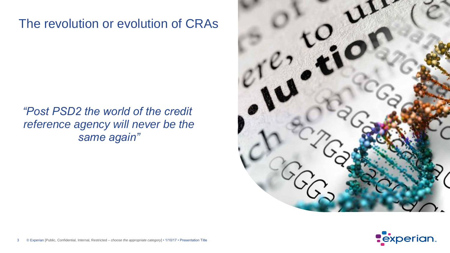

## *"Post PSD2 the world of the credit reference agency will never be the same again"*



## The revolution or evolution of CRAs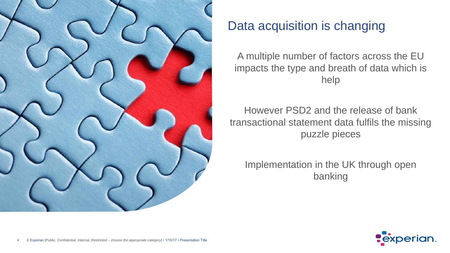

## Data acquisition is changing



A multiple number of factors across the EU impacts the type and breath of data which is help

However PSD2 and the release of bank transactional statement data fulfils the missing puzzle pieces

Implementation in the UK through open banking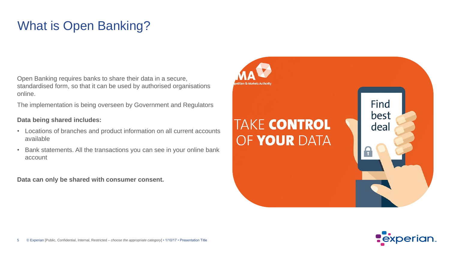



Open Banking requires banks to share their data in a secure, standardised form, so that it can be used by authorised organisations online.

The implementation is being overseen by Government and Regulators

#### **Data being shared includes:**

- Locations of branches and product information on all current accounts available
- Bank statements. All the transactions you can see in your online bank account

**Data can only be shared with consumer consent.** 



# **TAKE CONTROL** OF YOUR DATA

## What is Open Banking?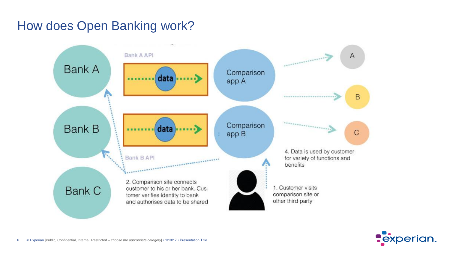

## How does Open Banking work?

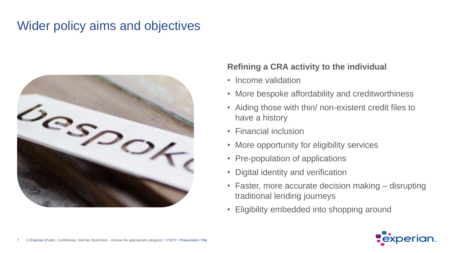

### **Refining a CRA activity to the individual**

- Income validation
- More bespoke affordability and creditworthiness • Aiding those with thin/ non-existent credit files to
- have a history
- Financial inclusion
- More opportunity for eligibility services
- Pre-population of applications
- Digital identity and verification
- Faster, more accurate decision making disrupting traditional lending journeys
- Eligibility embedded into shopping around

## Wider policy aims and objectives